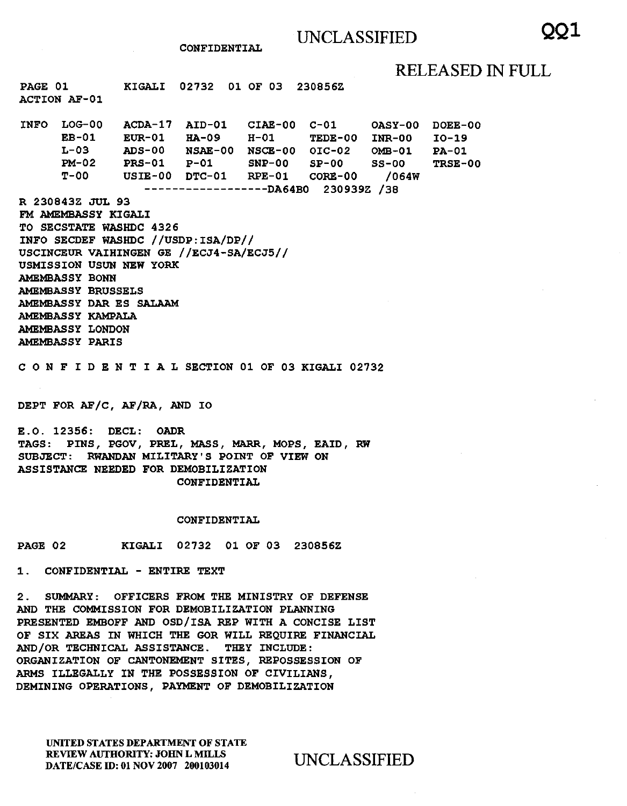# RELEASED IN FULL

PAGE 01 ACTION AF-01 KIGALI 02732 01 OF 03 230856Z

INFO LOG-00 EB-01 L-03 PM-02 T-OO ACDA-17 AID-01 CIAE-00 C-Ol OASY-00 DOEE-00 EUR-01 HA-09 H-01 TEDE-00 INR-00 ADS-00 NSAE-00 NSCE-00 OIC-02 OMB-01  $PS-01$   $P-01$ USIE-00 DTC-01 RPE-01 CORE-00 /064W SNP-00 SP-00 SS-00 I0-19 PA-01 TRSE-00

------------------DA64BO 230939Z /38 R 230843Z JUL 93

- FM AMEMBASSY KIGALI TO SECSTATE WASHDC 4326 INFO SECDEF WASHDC //USDP:ISA/DP// USCINCEUR VAIHINGEN GE //ECJ4-SA/ECJ5// USMISSION USUN NEW YORK AMEMBASSY BONN AMEMBASSY BRUSSELS AMEMBASSY DAR ES SALAAM AMEMBASSY KAMPALA AMEMBASSY LONDON
- AMEMBASSY PARIS

C 0 N F I D E N T I A L SECTION 01 OF 03 KIGALI 02732

DEPT FOR AF/C, AF/RA, AND IO

E.O. 12356: DECL: OADR TAGS: PINS, PGOV, PREL, MASS, MARR, MOPS, EAID, RW SUBJECT: RWANDAN MILITARY'S POINT OF VIEW ON ASSISTANCE NEEDED FOR DEMOBILIZATION CONFIDENTIAL

## CONFIDENTIAL

PAGE 02 KIGALI 02732 01 OF 03 230856Z

1. CONFIDENTIAL - ENTIRE TEXT

2. SUMMARY: OFFICERS FROM THE MINISTRY OF DEFENSE AND THE COMMISSION FOR DEMOBILIZATION PLANNING PRESENTED EMBOFF AND OSD/ISA REP WITH A CONCISE LIST OF SIX AREAS IN WHICH THE GOR WILL REQUIRE FINANCIAL AND/OR TECHNICAL ASSISTANCE. THEY INCLUDE: ORGANIZATION OF CANTONEMENT SITES, REPOSSESSION OF ARMS ILLEGALLY IN THE POSSESSION OF CIVILIANS, DEMINING OPERATIONS, PAYMENT OF DEMOBILIZATION

UNITED STATES DEPARTMENT OF STATE REVIEW AUTHORITY: JOHN L MILLS REVIEW AUTHORITY: JOHN L MILLS<br>DATE/CASE ID: 01 NOV 2007 200103014 UNCLASSIFIED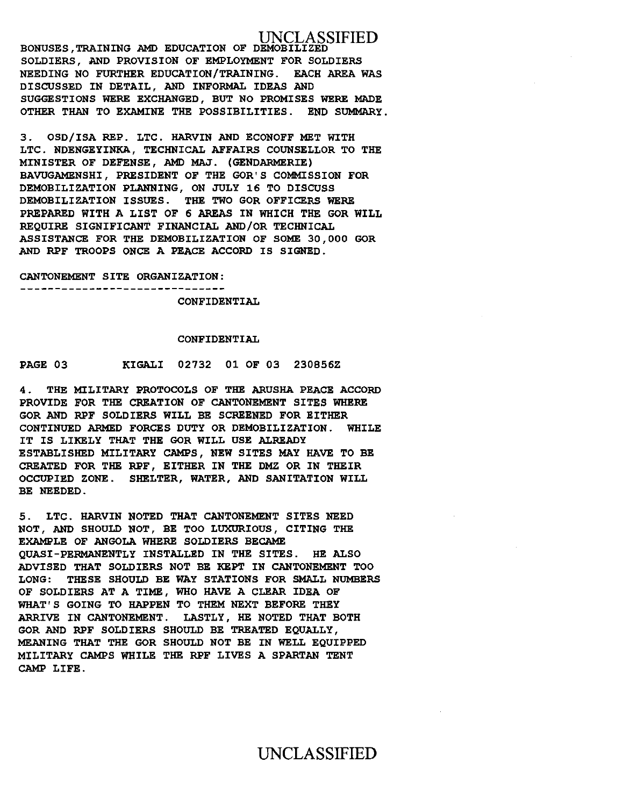UNCLASSIFIED BONUSES,TRAINING AMD EDUCATION OF DEMOBILIZED SOLDIERS, AND PROVISION OF EMPLOYMENT FOR SOLDIERS NEEDING NO FURTHER EDUCATION/TRAINING. EACH AREA WAS DISCUSSED IN DETAIL, AND INFORMAL IDEAS AND SUGGESTIONS WERE EXCHANGED, BUT NO PROMISES WERE MADE OTHER THAN TO EXAMINE THE POSSIBILITIES. END SUMMARY.

3. OSD/ISA REP. LTC. HARVIN AND ECONOFF MET WITH LTC. NDENGEYINKA, TECHNICAL AFFAIRS COUNSELLOR TO THE MINISTER OF DEFENSE, AMD MAJ. (GENDARMERIE) BAVUGAMENSHI, PRESIDENT OF THE GOR'S COMMISSION FOR DEMOBILIZATION PLANNING, ON JULY 16 TO DISCUSS DEMOBILIZATION ISSUES. THE TWO GOR OFFICERS WERE PREPARED WITH A LIST OF 6 AREAS IN WHICH THE GOR WILL REQUIRE SIGNIFICANT FINANCIAL AND/OR TECHNICAL ASSISTANCE FOR THE DEMOBILIZATION OF SOME 30,000 GOR AND RPF TROOPS ONCE A PEACE ACCORD IS SIGNED.

CANTONEMENT SITE ORGANIZATION: ---**----------------------------**-

CONFIDENTIAL

### CONFIDENTIAL

PAGE 03 KIGALI 02732 01 OF 03 230856Z

4. THE MILITARY PROTOCOLS OF THE ARUSHA PEACE ACCORD PROVIDE FOR THE CREATION OF CANTONEMENT SITES WHERE GOR AND RPF SOLDIERS WILL BE SCREENED FOR EITHER CONTINUED ARMED FORCES DUTY OR DEMOBILIZATION. WHILE IT IS LIKELY THAT THE GOR WILL USE ALREADY ESTABLISHED MILITARY CAMPS, NEW SITES MAY HAVE TO BE CREATED FOR THE RPF, EITHER IN THE DMZ OR IN THEIR OCCUPIED ZONE. SHELTER, WATER, AND SANITATION WILL BE NEEDED.

5. LTC. HARVIN NOTED THAT CANTONEMENT SITES NEED NOT, AND SHOULD NOT, BE TOO LUXURIOUS, CITING THE EXAMPLE OF ANGOLA WHERE SOLDIERS BECAME QUASI-PERMANENTLY INSTALLED IN THE SITES. HE ALSO ADVISED THAT SOLDIERS NOT BE KEPT IN CANTONEMENT TOO LONG: THESE SHOULD BE WAY STATIONS FOR SMALL NUMBERS OF SOLDIERS AT A TIME, WHO HAVE A CLEAR IDEA OF WHAT'S GOING TO HAPPEN TO THEM NEXT BEFORE THEY ARRIVE IN CANTONEMENT. LASTLY, HE NOTED THAT BOTH GOR AND RPF SOLDIERS SHOULD BE TREATED EQUALLY, MEANING THAT THE GOR SHOULD NOT BE IN WELL EQUIPPED MILITARY CAMPS WHILE THE RPF LIVES A SPARTAN TENT CAMP LIFE.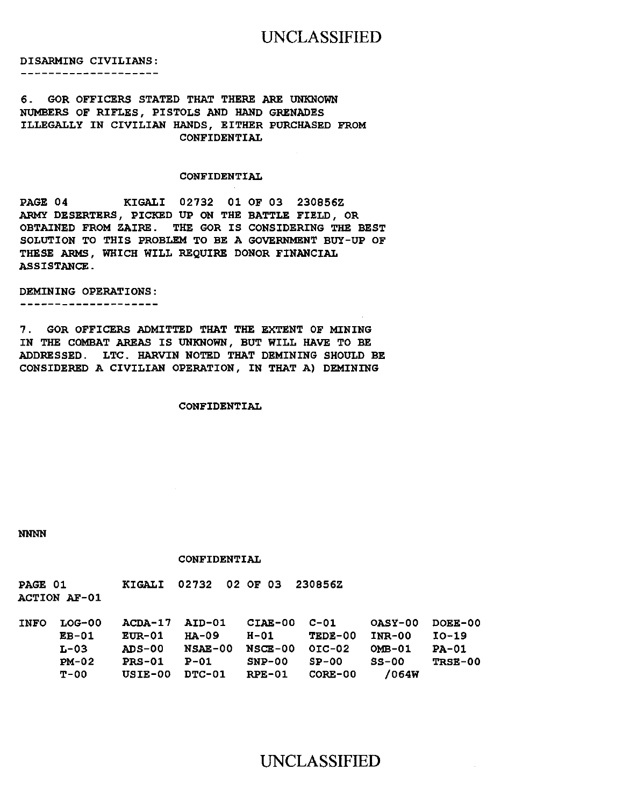# UNCLASSIFIED

DISARMING CIVILIANS:

#### --------------------

## 6. GOR OFFICERS STATED THAT THERE ARE UNKNOWN NUMBERS OF RIFLES, PISTOLS AND HAND GRENADES ILLEGALLY IN CIVILIAN HANDS, EITHER PURCHASED FROM CONFIDENTIAL

## CONFIDENTIAL

PAGE 04 KIGALI 02732 01 OF 03 230856Z ARMY DESERTERS, PICKED UP ON THE BATTLE FIELD, OR OBTAINED FROM ZAIRE. THE GOR IS CONSIDERING THE BEST SOLUTION TO THIS PROBLEM TO BE A GOVERNMENT BUY-UP OF THESE ARMS, WHICH WILL REQUIRE DONOR FINANCIAL ASSISTANCE.

#### DEMINING OPERATIONS:

--------------------

7. GOR OFFICERS ADMITTED THAT THE EXTENT OF MINING IN THE COMBAT AREAS IS UNKNOWN, BUT WILL HAVE TO BE ADDRESSED. LTC. HARVIN NOTED THAT DEMINING SHOULD BE CONSIDERED A CIVILIAN OPERATION, IN THAT A) DEMINING

#### CONFIDENTIAL

NNNN

## CONFIDENTIAL

| PAGE 01             |  | KIGALI 02732 02 OF 03 230856Z |  |
|---------------------|--|-------------------------------|--|
| <b>ACTION AF-01</b> |  |                               |  |

| <b>INFO</b> | LOG-00         | ACDA-17 AID-01 |                | $CIAE-00$ $C-01$ |                | <b>OASY-00</b> | DOEE-00 |
|-------------|----------------|----------------|----------------|------------------|----------------|----------------|---------|
|             | $E_{\rm B-01}$ | EUR-01         | HA-09          | H-01             | TEDE-00        | INR-00         | $IO-19$ |
|             | L-03           | <b>ADS-00</b>  | <b>NSAE-00</b> | NSCE-00          | OIC-02         | <b>OMB-01</b>  | $PA-01$ |
|             | $PM-02$        | <b>PRS-01</b>  | P-01           | $SNP-00$         | $SP-00$        | $SS-00$        | TRSE-00 |
|             | T-00           | USTE-00        | DTC-01         | RPE-01           | <b>CORE-00</b> | /064W          |         |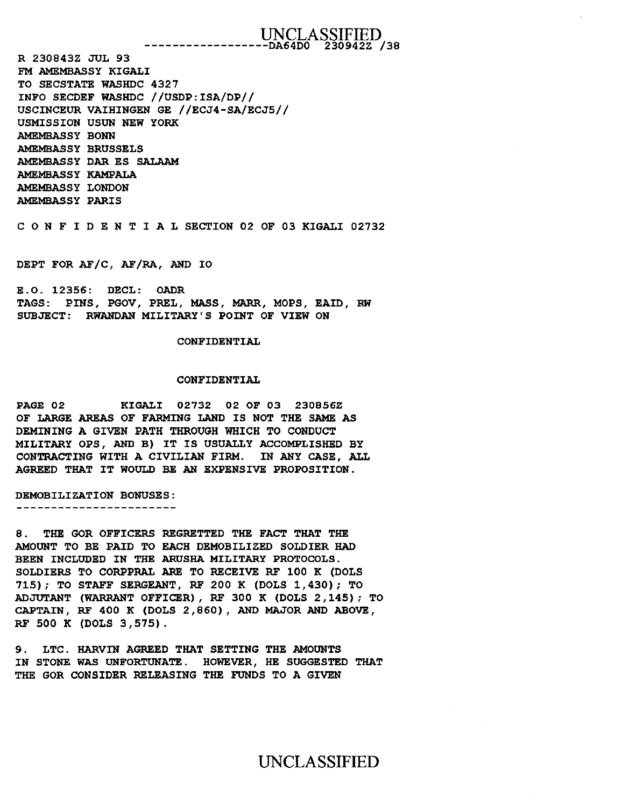## UNCLASSIFIED ------------------DA64DO 230942Z /38

R 230843Z JUL 93 FM AMEMBASSY KIGALI TO SECSTATE WASHDC 4327 INFO SECDEF WASHDC //USDP:ISA/DP// USCINCEUR VAIHINGEN GE //ECJ4-SA/ECJ5// USMISSION USUN NEW YORK AMEMBASSY BONN AMEMBASSY BRUSSELS AMEMBASSY DAR ES SALAAM AMEMBASSY KAMPALA AMEMBASSY LONDON AMEMBASSY PARIS

C 0 N F I D E N T I A L SECTION 02 OF 03 KIGALI 02732

DEPT FOR AF/C, AF/RA, AND IO

E.O. 12356: DECL: OADR TAGS: PINS, PGOV, PREL, MASS, MARR, MOPS, EAID, RW SUBJECT: RWANDAN MILITARY'S POINT OF VIEW ON

CONFIDENTIAL

## CONFIDENTIAL

PAGE 02 KIGALI 02732 02 OF 03 230856Z OF LARGE AREAS OF FARMING LAND IS NOT THE SAME AS DEMINING A GIVEN PATH THROUGH WHICH TO CONDUCT MILITARY OPS, AND B) IT IS USUALLY ACCOMPLISHED BY CONTRACTING WITH A CIVILIAN FIRM. IN ANY CASE, ALL AGREED THAT IT WOULD BE AN EXPENSIVE PROPOSITION.

DEMOBILIZATION BONUSES:

------------------------

8. THE GOR OFFICERS REGRETTED THE FACT THAT THE AMOUNT TO BE PAID TO EACH DEMOBILIZED SOLDIER HAD BEEN INCLUDED IN THE ARUSHA MILITARY PROTOCOLS. SOLDIERS TO CORPPRAL ARE TO RECEIVE RF 100 K (DOLS 715); TO STAFF SERGEANT, RF 200 K (DOLS 1,430); TO ADJUTANT (WARRANT OFFICER) , RF 300 K (DOLS 2, 145) ; TO CAPTAIN, RF 400 K (DOLS 2, 860) , AND MAJOR AND ABOVE, RF 500 K (DOLS 3,575).

9 . LTC. HARVIN AGREED THAT SETTING THE AMOUNTS IN STONE WAS UNFORTUNATE. HOWEVER, HE SUGGESTED THAT THE GOR CONSIDER RELEASING THE FUNDS TO A GIVEN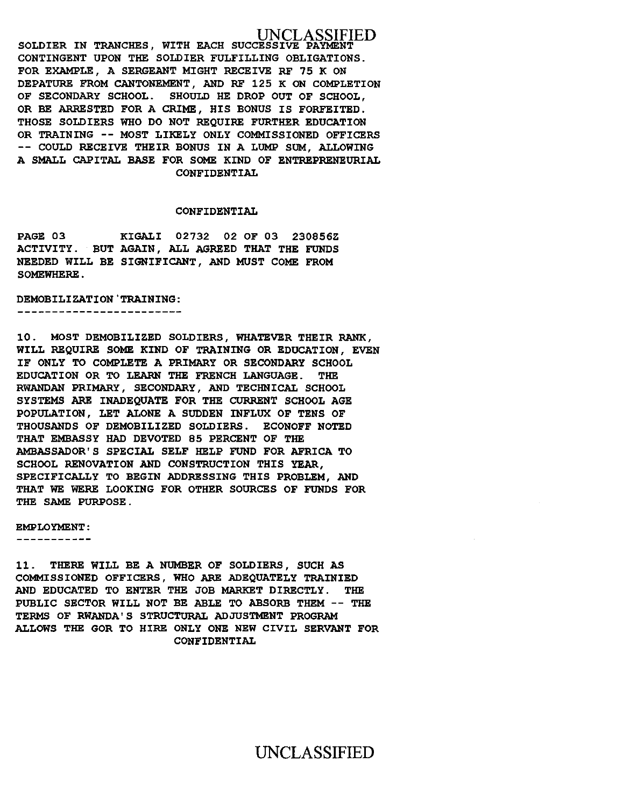## **ASSIFIED**

SOLDIER IN TRANCHES, WITH EACH SUCCESSIVE PAYMENT CONTINGENT UPON THE SOLDIER FULFILLING OBLIGATIONS. FOR EXAMPLE, A SERGEANT MIGHT RECEIVE RF 75 K ON DEPATURE FROM CANTONEMENT, AND RF 125 K ON COMPLETION OF SECONDARY SCHOOL. SHOULD HE DROP OUT OF SCHOOL, OR BE ARRESTED FOR A CRIME, HIS BONUS IS FORFEITED. THOSE SOLDIERS WHO DO NOT REQUIRE FURTHER EDUCATION OR TRAINING -- MOST LIKELY ONLY COMMISSIONED OFFICERS -- COULD RECEIVE THEIR BONUS IN A LUMP SUM, ALLOWING A SMALL CAPITAL BASE FOR SOME KIND OF ENTREPRENEURIAL CONFIDENTIAL

## CONFIDENTIAL

PAGE 03 KIGALI 02732 02 OF 03 230856Z ACTIVITY. BUT AGAIN, ALL AGREED THAT THE FUNDS NEEDED WILL BE SIGNIFICANT, AND MUST COME FROM SOMEWHERE.

DEMOBILIZATION'TRAINING:

-----------------------

10. MOST DEMOBILIZED SOLDIERS, WHATEVER THEIR RANK, WILL REQUIRE SOME KIND OF TRAINING OR EDUCATION, EVEN IF ONLY TO COMPLETE A PRIMARY OR SECONDARY SCHOOL EDUCATION OR TO LEARN THE FRENCH LANGUAGE. THE RWANDAN PRIMARY, SECONDARY, AND TECHNICAL SCHOOL SYSTEMS ARE INADEQUATE FOR THE CURRENT SCHOOL AGE POPULATION, LET ALONE A SUDDEN INFLUX OF TENS OF THOUSANDS OF DEMOBILIZED SOLDIERS. ECONOFF NOTED THAT EMBASSY HAD DEVOTED 85 PERCENT OF THE AMBASSADOR'S SPECIAL SELF HELP FUND FOR AFRICA TO SCHOOL RENOVATION AND CONSTRUCTION THIS YEAR, SPECIFICALLY TO BEGIN ADDRESSING THIS PROBLEM, AND THAT WE WERE LOOKING FOR OTHER SOURCES OF FUNDS FOR THE SAME PURPOSE.

EMPLOYMENT:

-----------

11. THERE WILL BE A NUMBER OF SOLDIERS, SUCH AS COMMISSIONED OFFICERS, WHO ARE ADEQUATELY TRAINIED AND EDUCATED TO ENTER THE JOB MARKET DIRECTLY. THE PUBLIC SECTOR WILL NOT BE ABLE TO ABSORB THEM -- THE TERMS OF RWANDA' S STRUCTURAL ADJUSTMENT PROGRAM ALLOWS THE GOR TO HIRE ONLY ONE NEW CIVIL SERVANT FOR CONFIDENTIAL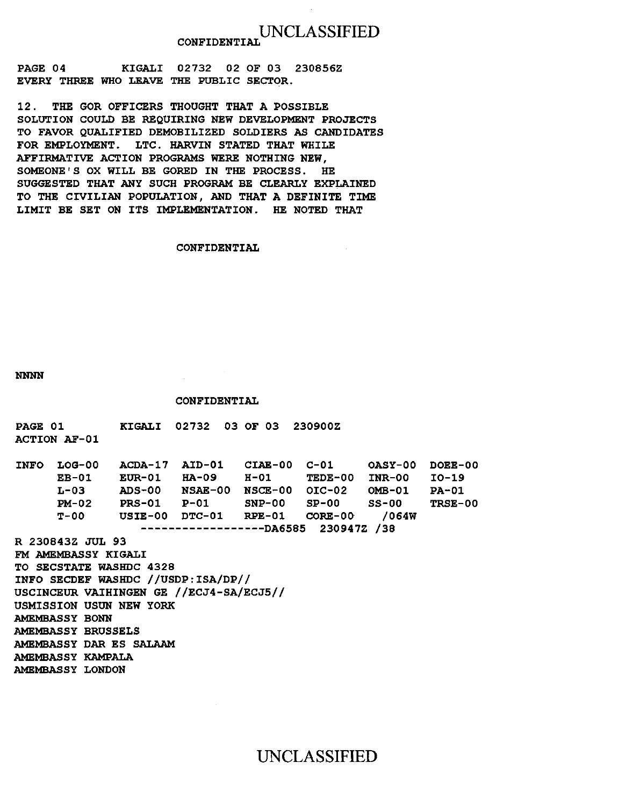# UNCLASSIFIED CONFIDENTIAL

PAGE 04 KIGALI 02732 02 OF 03 230856Z EVERY THREE WHO LEAVE THE PUBLIC SECTOR.

12. THE GOR OFFICERS THOUGHT THAT A POSSIBLE SOLUTION COULD BE REQUIRING NEW DEVELOPMENT PROJECTS TO FAVOR QUALIFIED DEMOBILIZED SOLDIERS AS CANDIDATES FOR EMPLOYMENT. LTC. HARVIN STATED THAT WHILE AFFIRMATIVE ACTION PROGRAMS WERE NOTHING NEW, SOMEONE'S OX WILL BE GORED IN THE PROCESS. HE SUGGESTED THAT ANY SUCH PROGRAM BE CLEARLY EXPLAINED TO THE CIVILIAN POPULATION, AND THAT A DEFINITE TIME LIMIT BE SET ON ITS IMPLEMENTATION. HE NOTED THAT

## CONFIDENTIAL

NNNN

## CONFIDENTIAL

| <b>PAGE 01</b> |                           | <b>KIGALI 02732 03 OF 03 230900Z</b>    |  |                                                 |       |                |
|----------------|---------------------------|-----------------------------------------|--|-------------------------------------------------|-------|----------------|
|                | <b>ACTION AF-01</b>       |                                         |  |                                                 |       |                |
|                |                           |                                         |  |                                                 |       |                |
| <b>INFO</b>    | LOG-00                    |                                         |  | ACDA-17 AID-01 CIAE-00 C-01 0ASY-00 DOEE-00     |       |                |
|                |                           |                                         |  | EB-01 EUR-01 HA-09 H-01 TEDE-00 INR-00 IO-19    |       |                |
|                |                           |                                         |  | L-03 ADS-00 NSAE-00 NSCE-00 OIC-02 OMB-01 PA-01 |       |                |
|                |                           |                                         |  | PM-02 PRS-01 P-01 SNP-00 SP-00 SS-00            |       | <b>TRSE-00</b> |
|                |                           |                                         |  | $T-00$ USIE-00 DTC-01 RPE-01 CORE-00            | /064W |                |
|                |                           |                                         |  | ---------------DA6585 230947Z /38               |       |                |
|                | R 230843Z JUL 93          |                                         |  |                                                 |       |                |
|                | FM AMEMBASSY KIGALI       |                                         |  |                                                 |       |                |
|                |                           | <b>TO SECSTATE WASHDC 4328</b>          |  |                                                 |       |                |
|                |                           | INFO SECDEF WASHDC //USDP: ISA/DP//     |  |                                                 |       |                |
|                |                           | USCINCEUR VAIHINGEN GE //ECJ4-SA/ECJ5// |  |                                                 |       |                |
|                |                           | USMISSION USUN NEW YORK                 |  |                                                 |       |                |
|                | <b>AMEMBASSY BONN</b>     |                                         |  |                                                 |       |                |
|                | <b>AMEMBASSY BRUSSELS</b> |                                         |  |                                                 |       |                |
|                |                           | AMEMBASSY DAR ES SALAAM                 |  |                                                 |       |                |
|                | <b>AMEMBASSY KAMPALA</b>  |                                         |  |                                                 |       |                |
|                | <b>AMEMBASSY LONDON</b>   |                                         |  |                                                 |       |                |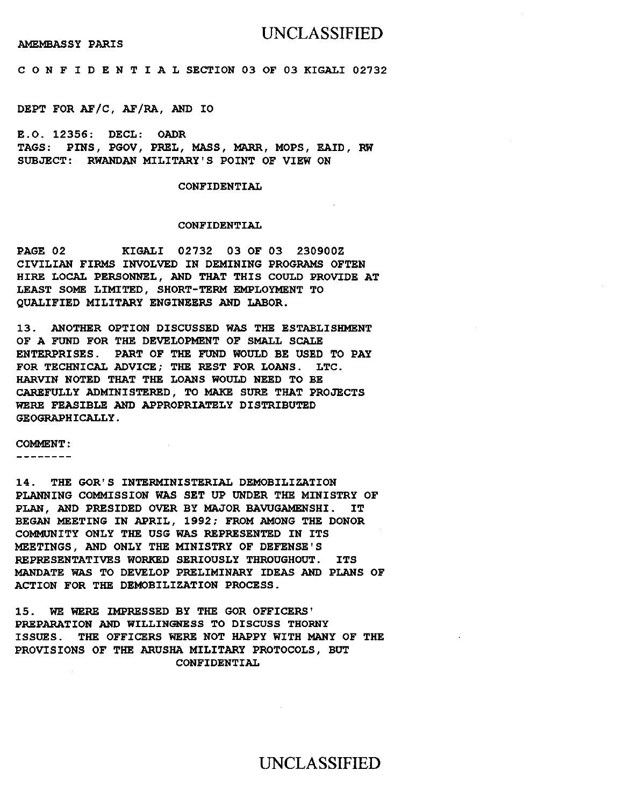## UNCLASSIFIED

AMEMBASSY PARIS

C 0 N F I D E N T I A L SECTION 03 OF 03 KIGALI 02732

DEPT FOR AF/C, AF/RA, AND IO

E.O. 12356: DECL: OADR TAGS: PINS, PGOV, PREL, MASS, MARR, MOPS, EAID, RW SUBJECT: RWANDAN MILITARY'S POINT OF VIEW ON

## CONFIDENTIAL

## CONFIDENTIAL

PAGE 02 KIGALI 02732 03 OF 03 230900Z CIVILIAN FIRMS INVOLVED IN DEMINING PROGRAMS OFTEN HIRE LOCAL PERSONNEL, AND THAT THIS COULD PROVIDE AT LEAST SOME LIMITED, SHORT-TERM EMPLOYMENT TO QUALIFIED MILITARY ENGINEERS AND LABOR.

13. ANOTHER OPTION DISCUSSED WAS THE ESTABLISHMENT OF A FUND FOR THE DEVELOPMENT OF SMALL SCALE ENTERPRISES. PART OF THE FUND WOULD BE USED TO PAY FOR TECHNICAL ADVICE; THE REST FOR LOANS. LTC. HARVIN NOTED THAT THE LOANS WOULD NEED TO BE CAREFULLY ADMINISTERED, TO MAKE SURE THAT PROJECTS WERE FEASIBLE AND APPROPRIATELY DISTRIBUTED GEOGRAPHICALLY.

COMMENT:

--------

14. THE GOR'S INTERMINISTERIAL DEMOBILIZATION PLANNING COMMISSION WAS SET UP UNDER THE MINISTRY OF PLAN, AND PRESIDED OVER BY MAJOR BAWGAMENSHI. IT BEGAN MEETING IN APRIL, 1992; FROM AMONG THE DONOR COMMUNITY ONLY THE USG WAS REPRESENTED IN ITS MEETINGS, AND ONLY THE MINISTRY OF DEFENSE'S REPRESENTATIVES WORKED SERIOUSLY THROUGHOUT. ITS MANDATE WAS TO DEVELOP PRELIMINARY IDEAS AND PLANS OF ACTION FOR THE DEMOBILIZATION PROCESS.

15. WE WERE IMPRESSED BY THE GOR OFFICERS' PREPARATION AND WILLINGNESS TO DISCUSS THORNY ISSUES. THE OFFICERS WERE NOT HAPPY WITH MANY OF THE PROVISIONS OF THE ARUSHA MILITARY PROTOCOLS, BUT CONFIDENTIAL